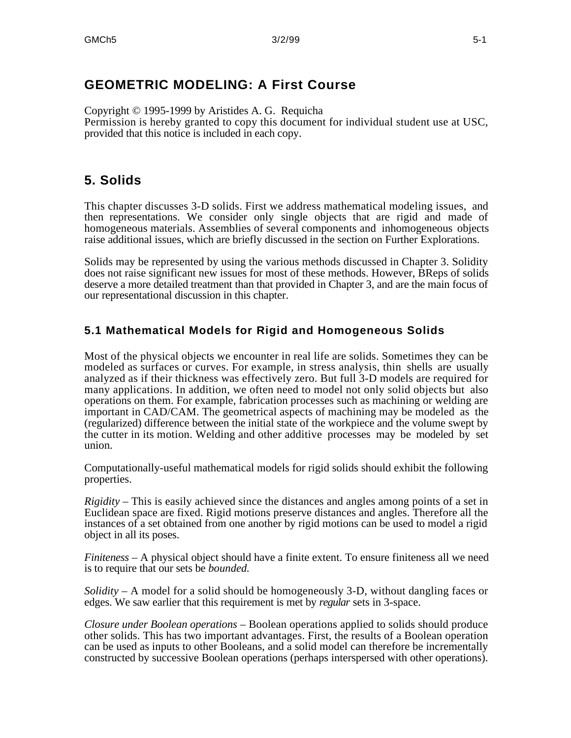## **GEOMETRIC MODELING: A First Course**

Copyright © 1995-1999 by Aristides A. G. Requicha Permission is hereby granted to copy this document for individual student use at USC, provided that this notice is included in each copy.

# **5. Solids**

This chapter discusses 3-D solids. First we address mathematical modeling issues, and then representations. We consider only single objects that are rigid and made of homogeneous materials. Assemblies of several components and inhomogeneous objects raise additional issues, which are briefly discussed in the section on Further Explorations.

Solids may be represented by using the various methods discussed in Chapter 3. Solidity does not raise significant new issues for most of these methods. However, BReps of solids deserve a more detailed treatment than that provided in Chapter 3, and are the main focus of our representational discussion in this chapter.

### **5.1 Mathematical Models for Rigid and Homogeneous Solids**

Most of the physical objects we encounter in real life are solids. Sometimes they can be modeled as surfaces or curves. For example, in stress analysis, thin shells are usually analyzed as if their thickness was effectively zero. But full 3-D models are required for many applications. In addition, we often need to model not only solid objects but also operations on them. For example, fabrication processes such as machining or welding are important in CAD/CAM. The geometrical aspects of machining may be modeled as the (regularized) difference between the initial state of the workpiece and the volume swept by the cutter in its motion. Welding and other additive processes may be modeled by set union.

Computationally-useful mathematical models for rigid solids should exhibit the following properties.

*Rigidity* – This is easily achieved since the distances and angles among points of a set in Euclidean space are fixed. Rigid motions preserve distances and angles. Therefore all the instances of a set obtained from one another by rigid motions can be used to model a rigid object in all its poses.

*Finiteness* – A physical object should have a finite extent. To ensure finiteness all we need is to require that our sets be *bounded*.

*Solidity* – A model for a solid should be homogeneously 3-D, without dangling faces or edges. We saw earlier that this requirement is met by *regular* sets in 3-space.

*Closure under Boolean operations* – Boolean operations applied to solids should produce other solids. This has two important advantages. First, the results of a Boolean operation can be used as inputs to other Booleans, and a solid model can therefore be incrementally constructed by successive Boolean operations (perhaps interspersed with other operations).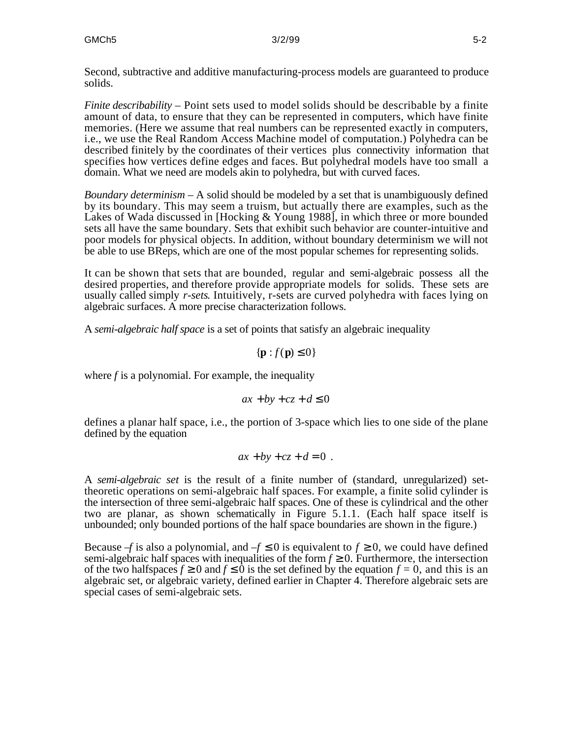Second, subtractive and additive manufacturing-process models are guaranteed to produce solids.

*Finite describability* – Point sets used to model solids should be describable by a finite amount of data, to ensure that they can be represented in computers, which have finite memories. (Here we assume that real numbers can be represented exactly in computers, i.e., we use the Real Random Access Machine model of computation.) Polyhedra can be described finitely by the coordinates of their vertices plus connectivity information that specifies how vertices define edges and faces. But polyhedral models have too small a domain. What we need are models akin to polyhedra, but with curved faces.

*Boundary determinism* – A solid should be modeled by a set that is unambiguously defined by its boundary. This may seem a truism, but actually there are examples, such as the Lakes of Wada discussed in [Hocking & Young 1988], in which three or more bounded sets all have the same boundary. Sets that exhibit such behavior are counter-intuitive and poor models for physical objects. In addition, without boundary determinism we will not be able to use BReps, which are one of the most popular schemes for representing solids.

It can be shown that sets that are bounded, regular and semi-algebraic possess all the desired properties, and therefore provide appropriate models for solids. These sets are usually called simply *r-sets*. Intuitively, r-sets are curved polyhedra with faces lying on algebraic surfaces. A more precise characterization follows.

A *semi-algebraic half space* is a set of points that satisfy an algebraic inequality

$$
\{\mathbf p: f(\mathbf p) \quad 0\}
$$

where *f* is a polynomial. For example, the inequality

$$
ax + by + cz + d \quad 0
$$

defines a planar half space, i.e., the portion of 3-space which lies to one side of the plane defined by the equation

$$
ax + by + cz + d = 0.
$$

A *semi-algebraic set* is the result of a finite number of (standard, unregularized) settheoretic operations on semi-algebraic half spaces. For example, a finite solid cylinder is the intersection of three semi-algebraic half spaces. One of these is cylindrical and the other two are planar, as shown schematically in Figure 5.1.1. (Each half space itself is unbounded; only bounded portions of the half space boundaries are shown in the figure.)

Because  $-f$  is also a polynomial, and  $-f$  0 is equivalent to  $f$  0, we could have defined semi-algebraic half spaces with inequalities of the form  $f \quad 0$ . Furthermore, the intersection of the two halfspaces *f* 0 and *f* 0 is the set defined by the equation  $f = 0$ , and this is an algebraic set, or algebraic variety, defined earlier in Chapter 4. Therefore algebraic sets are special cases of semi-algebraic sets.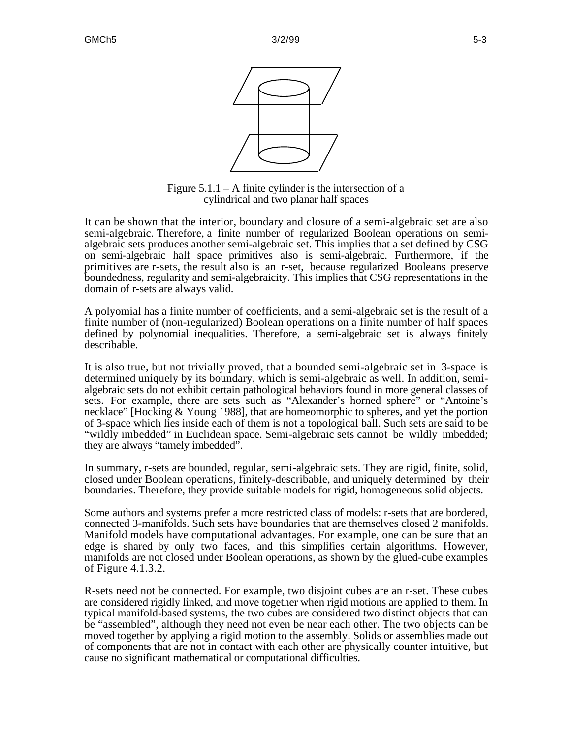



Figure  $5.1.1 - A$  finite cylinder is the intersection of a cylindrical and two planar half spaces

It can be shown that the interior, boundary and closure of a semi-algebraic set are also semi-algebraic. Therefore, a finite number of regularized Boolean operations on semialgebraic sets produces another semi-algebraic set. This implies that a set defined by CSG on semi-algebraic half space primitives also is semi-algebraic. Furthermore, if the primitives are r-sets, the result also is an r-set, because regularized Booleans preserve boundedness, regularity and semi-algebraicity. This implies that CSG representations in the domain of r-sets are always valid.

A polyomial has a finite number of coefficients, and a semi-algebraic set is the result of a finite number of (non-regularized) Boolean operations on a finite number of half spaces defined by polynomial inequalities. Therefore, a semi-algebraic set is always finitely describable.

It is also true, but not trivially proved, that a bounded semi-algebraic set in 3-space is determined uniquely by its boundary, which is semi-algebraic as well. In addition, semialgebraic sets do not exhibit certain pathological behaviors found in more general classes of sets. For example, there are sets such as "Alexander's horned sphere" or "Antoine's necklace" [Hocking & Young 1988], that are homeomorphic to spheres, and yet the portion of 3-space which lies inside each of them is not a topological ball. Such sets are said to be "wildly imbedded" in Euclidean space. Semi-algebraic sets cannot be wildly imbedded; they are always "tamely imbedded".

In summary, r-sets are bounded, regular, semi-algebraic sets. They are rigid, finite, solid, closed under Boolean operations, finitely-describable, and uniquely determined by their boundaries. Therefore, they provide suitable models for rigid, homogeneous solid objects.

Some authors and systems prefer a more restricted class of models: r-sets that are bordered, connected 3-manifolds. Such sets have boundaries that are themselves closed 2 manifolds. Manifold models have computational advantages. For example, one can be sure that an edge is shared by only two faces, and this simplifies certain algorithms. However, manifolds are not closed under Boolean operations, as shown by the glued-cube examples of Figure 4.1.3.2.

R-sets need not be connected. For example, two disjoint cubes are an r-set. These cubes are considered rigidly linked, and move together when rigid motions are applied to them. In typical manifold-based systems, the two cubes are considered two distinct objects that can be "assembled", although they need not even be near each other. The two objects can be moved together by applying a rigid motion to the assembly. Solids or assemblies made out of components that are not in contact with each other are physically counter intuitive, but cause no significant mathematical or computational difficulties.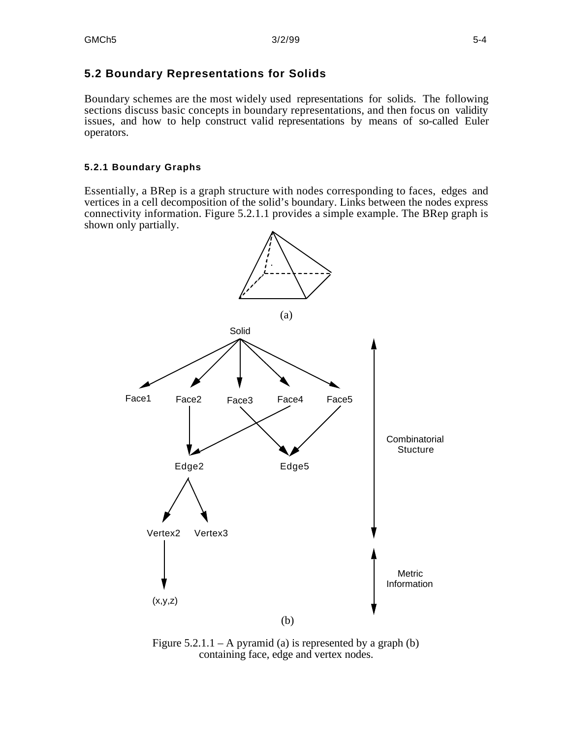## **5.2 Boundary Representations for Solids**

Boundary schemes are the most widely used representations for solids. The following sections discuss basic concepts in boundary representations, and then focus on validity issues, and how to help construct valid representations by means of so-called Euler operators.

### **5.2.1 Boundary Graphs**

Essentially, a BRep is a graph structure with nodes corresponding to faces, edges and vertices in a cell decomposition of the solid's boundary. Links between the nodes express connectivity information. Figure 5.2.1.1 provides a simple example. The BRep graph is shown only partially.



Figure  $5.2.1.1 - A$  pyramid (a) is represented by a graph (b) containing face, edge and vertex nodes.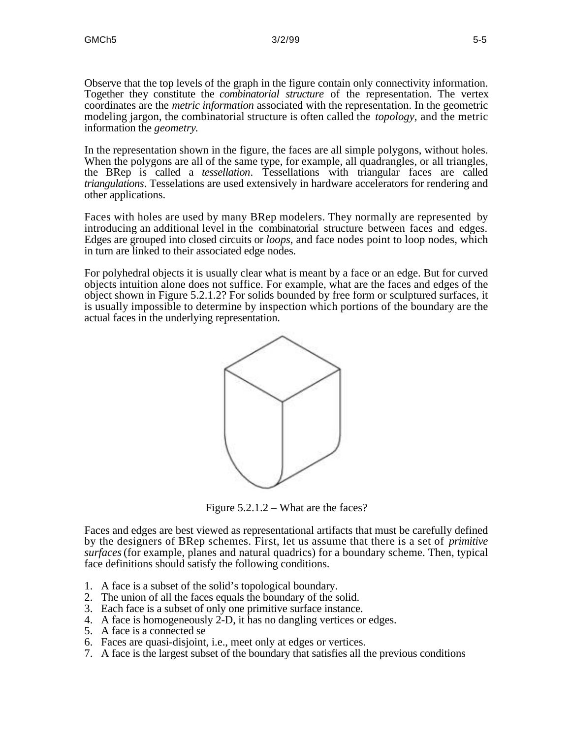Observe that the top levels of the graph in the figure contain only connectivity information. Together they constitute the *combinatorial structure* of the representation. The vertex coordinates are the *metric information* associated with the representation. In the geometric modeling jargon, the combinatorial structure is often called the *topology*, and the metric information the *geometry*.

In the representation shown in the figure, the faces are all simple polygons, without holes. When the polygons are all of the same type, for example, all quadrangles, or all triangles, the BRep is called a *tessellation*. Tessellations with triangular faces are called *triangulations*. Tesselations are used extensively in hardware accelerators for rendering and other applications.

Faces with holes are used by many BRep modelers. They normally are represented by introducing an additional level in the combinatorial structure between faces and edges. Edges are grouped into closed circuits or *loops*, and face nodes point to loop nodes, which in turn are linked to their associated edge nodes.

For polyhedral objects it is usually clear what is meant by a face or an edge. But for curved objects intuition alone does not suffice. For example, what are the faces and edges of the object shown in Figure 5.2.1.2? For solids bounded by free form or sculptured surfaces, it is usually impossible to determine by inspection which portions of the boundary are the actual faces in the underlying representation.



Figure 5.2.1.2 – What are the faces?

Faces and edges are best viewed as representational artifacts that must be carefully defined by the designers of BRep schemes. First, let us assume that there is a set of *primitive surfaces* (for example, planes and natural quadrics) for a boundary scheme. Then, typical face definitions should satisfy the following conditions.

- 1. A face is a subset of the solid's topological boundary.
- 2. The union of all the faces equals the boundary of the solid.
- 3. Each face is a subset of only one primitive surface instance.
- 4. A face is homogeneously 2-D, it has no dangling vertices or edges.
- 5. A face is a connected se
- 6. Faces are quasi-disjoint, i.e., meet only at edges or vertices.
- 7. A face is the largest subset of the boundary that satisfies all the previous conditions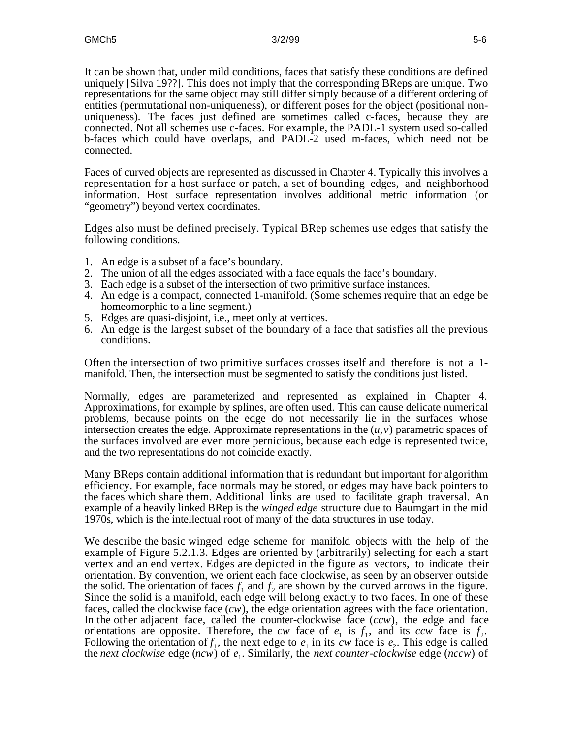It can be shown that, under mild conditions, faces that satisfy these conditions are defined uniquely [Silva 19??]. This does not imply that the corresponding BReps are unique. Two representations for the same object may still differ simply because of a different ordering of entities (permutational non-uniqueness), or different poses for the object (positional nonuniqueness). The faces just defined are sometimes called c-faces, because they are connected. Not all schemes use c-faces. For example, the PADL-1 system used so-called b-faces which could have overlaps, and PADL-2 used m-faces, which need not be connected.

Faces of curved objects are represented as discussed in Chapter 4. Typically this involves a representation for a host surface or patch, a set of bounding edges, and neighborhood information. Host surface representation involves additional metric information (or "geometry") beyond vertex coordinates.

Edges also must be defined precisely. Typical BRep schemes use edges that satisfy the following conditions.

- 1. An edge is a subset of a face's boundary.
- 2. The union of all the edges associated with a face equals the face's boundary.
- 3. Each edge is a subset of the intersection of two primitive surface instances.
- 4. An edge is a compact, connected 1-manifold. (Some schemes require that an edge be homeomorphic to a line segment.)
- 5. Edges are quasi-disjoint, i.e., meet only at vertices.
- 6. An edge is the largest subset of the boundary of a face that satisfies all the previous conditions.

Often the intersection of two primitive surfaces crosses itself and therefore is not a 1 manifold. Then, the intersection must be segmented to satisfy the conditions just listed.

Normally, edges are parameterized and represented as explained in Chapter 4. Approximations, for example by splines, are often used. This can cause delicate numerical problems, because points on the edge do not necessarily lie in the surfaces whose intersection creates the edge. Approximate representations in the  $(u, v)$  parametric spaces of the surfaces involved are even more pernicious, because each edge is represented twice, and the two representations do not coincide exactly.

Many BReps contain additional information that is redundant but important for algorithm efficiency. For example, face normals may be stored, or edges may have back pointers to the faces which share them. Additional links are used to facilitate graph traversal. An example of a heavily linked BRep is the *winged edge* structure due to Baumgart in the mid 1970s, which is the intellectual root of many of the data structures in use today.

We describe the basic winged edge scheme for manifold objects with the help of the example of Figure 5.2.1.3. Edges are oriented by (arbitrarily) selecting for each a start vertex and an end vertex. Edges are depicted in the figure as vectors, to indicate their orientation. By convention, we orient each face clockwise, as seen by an observer outside the solid. The orientation of faces  $f_1$  and  $f_2$  are shown by the curved arrows in the figure. Since the solid is a manifold, each edge will belong exactly to two faces. In one of these faces, called the clockwise face (*cw*), the edge orientation agrees with the face orientation. In the other adjacent face, called the counter-clockwise face (*ccw*), the edge and face orientations are opposite. Therefore, the *cw* face of  $e_1$  is  $f_1$ , and its *ccw* face is  $f_2$ . Following the orientation of  $f_1$ , the next edge to  $e_1$  in its *cw* face is  $e_2$ . This edge is called the *next clockwise* edge (*ncw*) of  $e_1$ . Similarly, the *next counter-clockwise* edge (*nccw*) of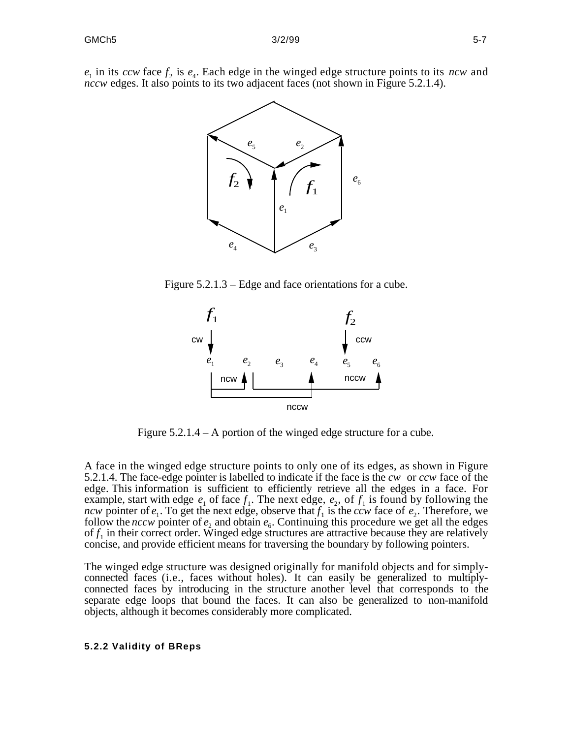$e_1$  in its *ccw* face  $f_2$  is  $e_4$ . Each edge in the winged edge structure points to its *ncw* and *nccw* edges. It also points to its two adjacent faces (not shown in Figure 5.2.1.4).



Figure 5.2.1.3 – Edge and face orientations for a cube.



Figure 5.2.1.4 – A portion of the winged edge structure for a cube.

A face in the winged edge structure points to only one of its edges, as shown in Figure 5.2.1.4. The face-edge pointer is labelled to indicate if the face is the *cw* or *ccw* face of the edge. This information is sufficient to efficiently retrieve all the edges in a face. For example, start with edge  $e_1$  of face  $f_1$ . The next edge,  $e_2$ , of  $f_1$  is found by following the *ncw* pointer of  $e_1$ . To get the next edge, observe that  $f_1$  is the *ccw* face of  $e_2$ . Therefore, we follow the *nccw* pointer of  $e_2$  and obtain  $e_6$ . Continuing this procedure we get all the edges of  $f_1$  in their correct order. Winged edge structures are attractive because they are relatively concise, and provide efficient means for traversing the boundary by following pointers.

The winged edge structure was designed originally for manifold objects and for simplyconnected faces (i.e., faces without holes). It can easily be generalized to multiplyconnected faces by introducing in the structure another level that corresponds to the separate edge loops that bound the faces. It can also be generalized to non-manifold objects, although it becomes considerably more complicated.

#### **5.2.2 Validity of BReps**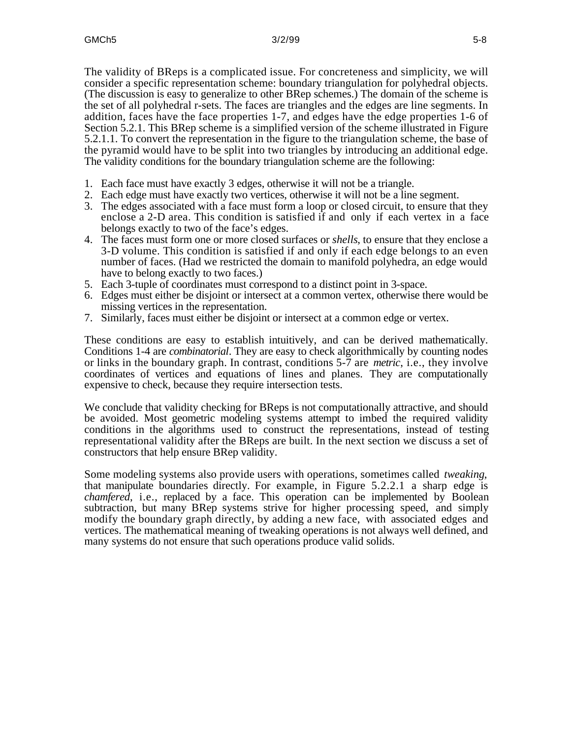The validity of BReps is a complicated issue. For concreteness and simplicity, we will consider a specific representation scheme: boundary triangulation for polyhedral objects. (The discussion is easy to generalize to other BRep schemes.) The domain of the scheme is the set of all polyhedral r-sets. The faces are triangles and the edges are line segments. In addition, faces have the face properties 1-7, and edges have the edge properties 1-6 of Section 5.2.1. This BRep scheme is a simplified version of the scheme illustrated in Figure 5.2.1.1. To convert the representation in the figure to the triangulation scheme, the base of the pyramid would have to be split into two triangles by introducing an additional edge. The validity conditions for the boundary triangulation scheme are the following:

- 1. Each face must have exactly 3 edges, otherwise it will not be a triangle.
- 2. Each edge must have exactly two vertices, otherwise it will not be a line segment.
- 3. The edges associated with a face must form a loop or closed circuit, to ensure that they enclose a 2-D area. This condition is satisfied if and only if each vertex in a face belongs exactly to two of the face's edges.
- 4. The faces must form one or more closed surfaces or *shells*, to ensure that they enclose a 3-D volume. This condition is satisfied if and only if each edge belongs to an even number of faces. (Had we restricted the domain to manifold polyhedra, an edge would have to belong exactly to two faces.)
- 5. Each 3-tuple of coordinates must correspond to a distinct point in 3-space.
- 6. Edges must either be disjoint or intersect at a common vertex, otherwise there would be missing vertices in the representation.
- 7. Similarly, faces must either be disjoint or intersect at a common edge or vertex.

These conditions are easy to establish intuitively, and can be derived mathematically. Conditions 1-4 are *combinatorial*. They are easy to check algorithmically by counting nodes or links in the boundary graph. In contrast, conditions 5-7 are *metric*, i.e., they involve coordinates of vertices and equations of lines and planes. They are computationally expensive to check, because they require intersection tests.

We conclude that validity checking for BReps is not computationally attractive, and should be avoided. Most geometric modeling systems attempt to imbed the required validity conditions in the algorithms used to construct the representations, instead of testing representational validity after the BReps are built. In the next section we discuss a set of constructors that help ensure BRep validity.

Some modeling systems also provide users with operations, sometimes called *tweaking*, that manipulate boundaries directly. For example, in Figure 5.2.2.1 a sharp edge is *chamfered*, i.e., replaced by a face. This operation can be implemented by Boolean subtraction, but many BRep systems strive for higher processing speed, and simply modify the boundary graph directly, by adding a new face, with associated edges and vertices. The mathematical meaning of tweaking operations is not always well defined, and many systems do not ensure that such operations produce valid solids.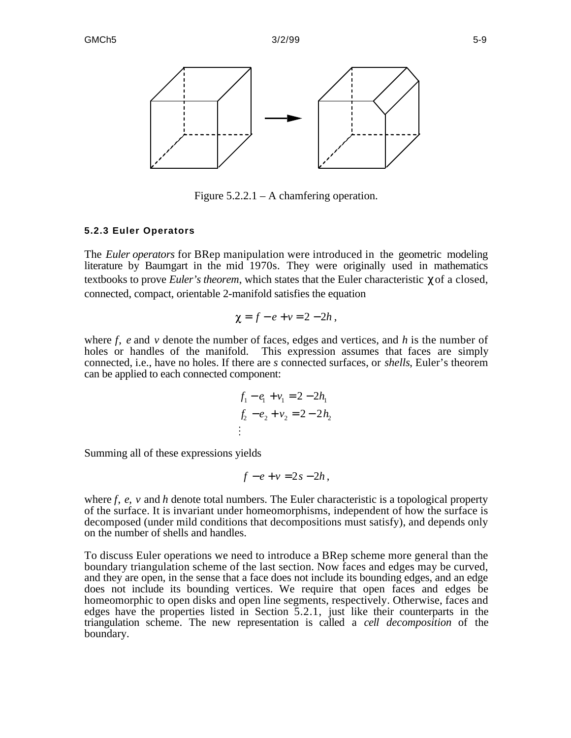

Figure  $5.2.2.1 - A$  chamfering operation.

#### **5.2.3 Euler Operators**

The *Euler operators* for BRep manipulation were introduced in the geometric modeling literature by Baumgart in the mid 1970s. They were originally used in mathematics textbooks to prove *Euler's theorem*, which states that the Euler characteristic of a closed, connected, compact, orientable 2-manifold satisfies the equation

$$
\chi = f - e + v = 2 - 2h,
$$

where *f*, *e* and *v* denote the number of faces, edges and vertices, and *h* is the number of holes or handles of the manifold. This expression assumes that faces are simply connected, i.e., have no holes. If there are *s* connected surfaces, or *shells*, Euler's theorem can be applied to each connected component:

$$
f_1 - e_1 + v_1 = 2 - 2h_1
$$
  

$$
f_2 - e_2 + v_2 = 2 - 2h_2
$$
  
:

Summing all of these expressions yields

$$
f-e+v=2s-2h,
$$

where *f*, *e*, *v* and *h* denote total numbers. The Euler characteristic is a topological property of the surface. It is invariant under homeomorphisms, independent of how the surface is decomposed (under mild conditions that decompositions must satisfy), and depends only on the number of shells and handles.

To discuss Euler operations we need to introduce a BRep scheme more general than the boundary triangulation scheme of the last section. Now faces and edges may be curved, and they are open, in the sense that a face does not include its bounding edges, and an edge does not include its bounding vertices. We require that open faces and edges be homeomorphic to open disks and open line segments, respectively. Otherwise, faces and edges have the properties listed in Section 5.2.1, just like their counterparts in the triangulation scheme. The new representation is called a *cell decomposition* of the boundary.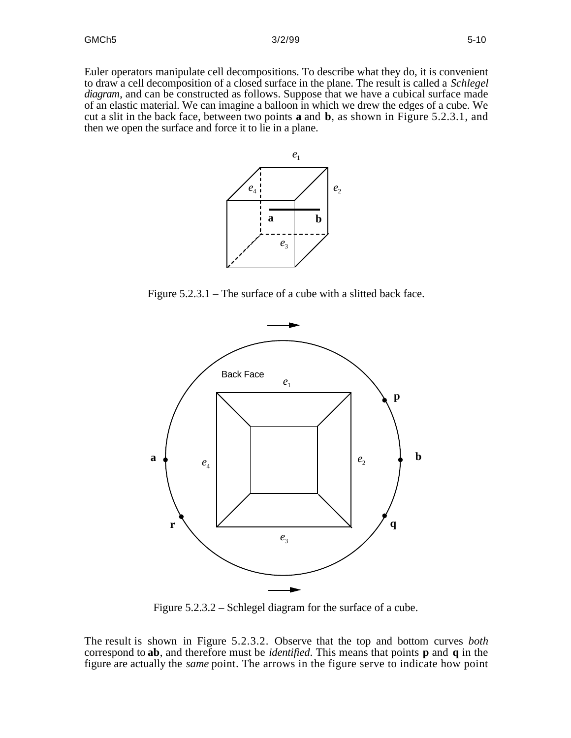Euler operators manipulate cell decompositions. To describe what they do, it is convenient to draw a cell decomposition of a closed surface in the plane. The result is called a *Schlegel diagram*, and can be constructed as follows. Suppose that we have a cubical surface made of an elastic material. We can imagine a balloon in which we drew the edges of a cube. We cut a slit in the back face, between two points **a** and **b**, as shown in Figure 5.2.3.1, and then we open the surface and force it to lie in a plane.



Figure 5.2.3.1 – The surface of a cube with a slitted back face.



Figure 5.2.3.2 – Schlegel diagram for the surface of a cube.

The result is shown in Figure 5.2.3.2. Observe that the top and bottom curves *both* correspond to **ab**, and therefore must be *identified*. This means that points **p** and **q** in the figure are actually the *same* point. The arrows in the figure serve to indicate how point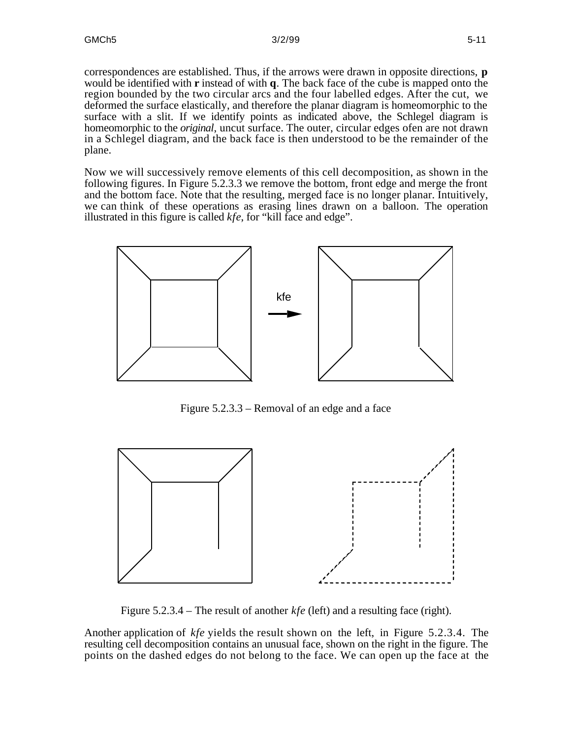correspondences are established. Thus, if the arrows were drawn in opposite directions, **p** would be identified with **r** instead of with **q**. The back face of the cube is mapped onto the region bounded by the two circular arcs and the four labelled edges. After the cut, we deformed the surface elastically, and therefore the planar diagram is homeomorphic to the surface with a slit. If we identify points as indicated above, the Schlegel diagram is homeomorphic to the *original*, uncut surface. The outer, circular edges ofen are not drawn in a Schlegel diagram, and the back face is then understood to be the remainder of the plane.

Now we will successively remove elements of this cell decomposition, as shown in the following figures. In Figure 5.2.3.3 we remove the bottom, front edge and merge the front and the bottom face. Note that the resulting, merged face is no longer planar. Intuitively, we can think of these operations as erasing lines drawn on a balloon. The operation illustrated in this figure is called *kfe*, for "kill face and edge".



Figure 5.2.3.3 – Removal of an edge and a face



Figure 5.2.3.4 – The result of another *kfe* (left) and a resulting face (right).

Another application of *kfe* yields the result shown on the left, in Figure 5.2.3.4. The resulting cell decomposition contains an unusual face, shown on the right in the figure. The points on the dashed edges do not belong to the face. We can open up the face at the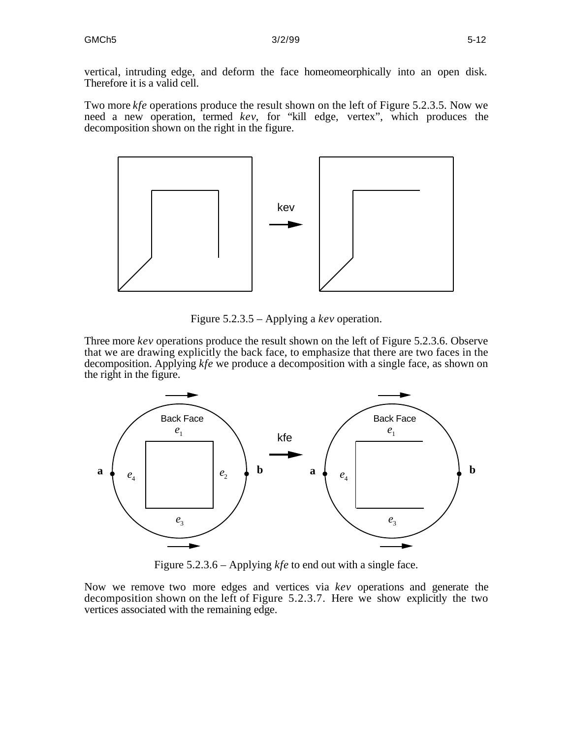vertical, intruding edge, and deform the face homeomeorphically into an open disk. Therefore it is a valid cell.

Two more *kfe* operations produce the result shown on the left of Figure 5.2.3.5. Now we need a new operation, termed *kev*, for "kill edge, vertex", which produces the decomposition shown on the right in the figure.



Figure 5.2.3.5 – Applying a *kev* operation.

Three more *kev* operations produce the result shown on the left of Figure 5.2.3.6. Observe that we are drawing explicitly the back face, to emphasize that there are two faces in the decomposition. Applying *kfe* we produce a decomposition with a single face, as shown on the right in the figure.



Figure 5.2.3.6 – Applying *kfe* to end out with a single face.

Now we remove two more edges and vertices via *kev* operations and generate the decomposition shown on the left of Figure 5.2.3.7. Here we show explicitly the two vertices associated with the remaining edge.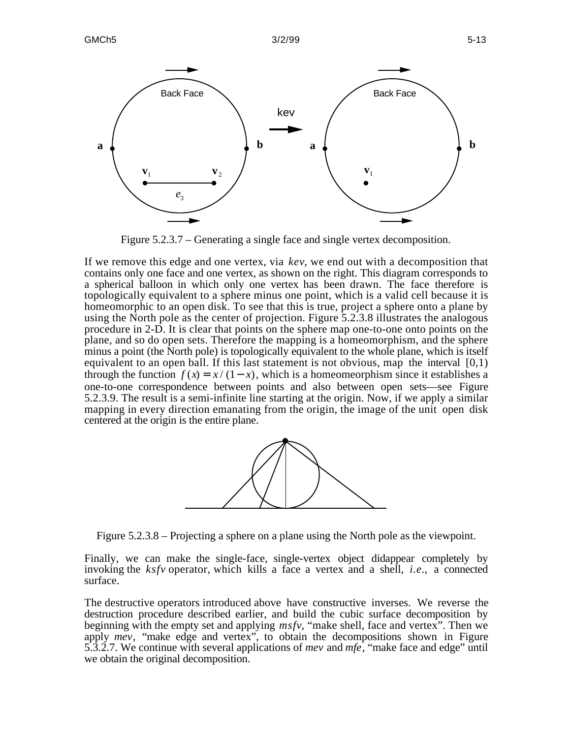

Figure 5.2.3.7 – Generating a single face and single vertex decomposition.

If we remove this edge and one vertex, via *kev*, we end out with a decomposition that contains only one face and one vertex, as shown on the right. This diagram corresponds to a spherical balloon in which only one vertex has been drawn. The face therefore is topologically equivalent to a sphere minus one point, which is a valid cell because it is homeomorphic to an open disk. To see that this is true, project a sphere onto a plane by using the North pole as the center of projection. Figure 5.2.3.8 illustrates the analogous procedure in 2-D. It is clear that points on the sphere map one-to-one onto points on the plane, and so do open sets. Therefore the mapping is a homeomorphism, and the sphere minus a point (the North pole) is topologically equivalent to the whole plane, which is itself equivalent to an open ball. If this last statement is not obvious, map the interval  $[0,1)$ through the function  $f(x) = x/(1-x)$ , which is a homeomeorphism since it establishes a one-to-one correspondence between points and also between open sets—see Figure 5.2.3.9. The result is a semi-infinite line starting at the origin. Now, if we apply a similar mapping in every direction emanating from the origin, the image of the unit open disk centered at the origin is the entire plane.



Figure 5.2.3.8 – Projecting a sphere on a plane using the North pole as the viewpoint.

Finally, we can make the single-face, single-vertex object didappear completely by invoking the *ksfv* operator, which kills a face a vertex and a shell, *i.e.*, a connected surface.

The destructive operators introduced above have constructive inverses. We reverse the destruction procedure described earlier, and build the cubic surface decomposition by beginning with the empty set and applying *msfv*, "make shell, face and vertex". Then we apply *mev*, "make edge and vertex", to obtain the decompositions shown in Figure 5.3.2.7. We continue with several applications of *mev* and *mfe*, "make face and edge" until we obtain the original decomposition.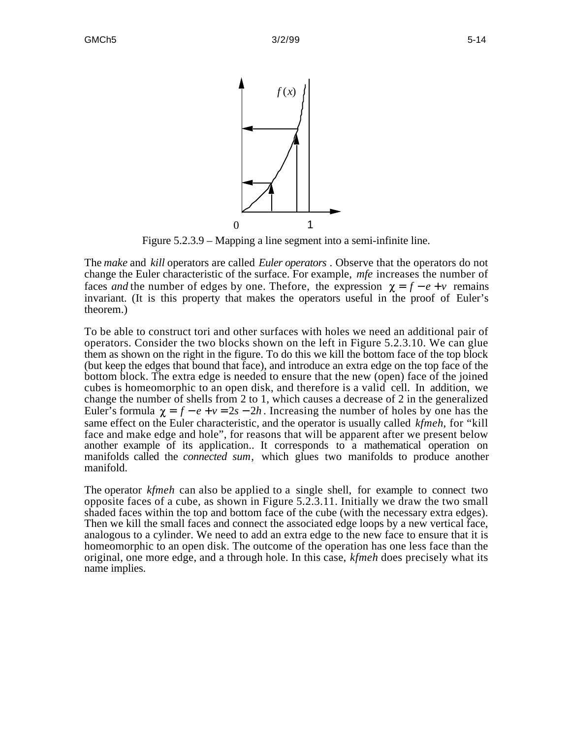

Figure 5.2.3.9 – Mapping a line segment into a semi-infinite line.

The *make* and *kill* operators are called *Euler operators* . Observe that the operators do not change the Euler characteristic of the surface. For example, *mfe* increases the number of faces *and* the number of edges by one. Thefore, the expression  $\chi = f - e + v$  remains invariant. (It is this property that makes the operators useful in the proof of Euler's theorem.)

To be able to construct tori and other surfaces with holes we need an additional pair of operators. Consider the two blocks shown on the left in Figure 5.2.3.10. We can glue them as shown on the right in the figure. To do this we kill the bottom face of the top block (but keep the edges that bound that face), and introduce an extra edge on the top face of the bottom block. The extra edge is needed to ensure that the new (open) face of the joined cubes is homeomorphic to an open disk, and therefore is a valid cell. In addition, we change the number of shells from 2 to 1, which causes a decrease of 2 in the generalized Euler's formula  $\gamma = f - e + v = 2s - 2h$ . Increasing the number of holes by one has the same effect on the Euler characteristic, and the operator is usually called *kfmeh*, for "kill face and make edge and hole", for reasons that will be apparent after we present below another example of its application.. It corresponds to a mathematical operation on manifolds called the *connected sum*, which glues two manifolds to produce another manifold.

The operator *kfmeh* can also be applied to a single shell, for example to connect two opposite faces of a cube, as shown in Figure 5.2.3.11. Initially we draw the two small shaded faces within the top and bottom face of the cube (with the necessary extra edges). Then we kill the small faces and connect the associated edge loops by a new vertical face, analogous to a cylinder. We need to add an extra edge to the new face to ensure that it is homeomorphic to an open disk. The outcome of the operation has one less face than the original, one more edge, and a through hole. In this case, *kfmeh* does precisely what its name implies.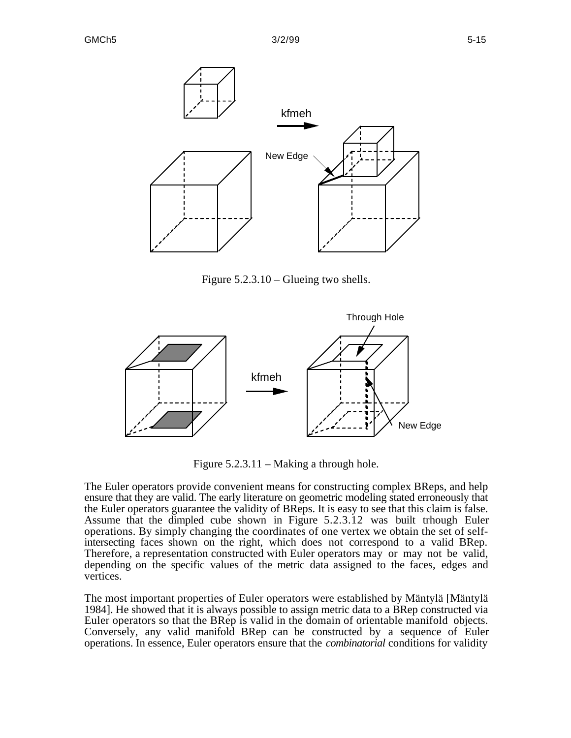

Figure 5.2.3.10 – Glueing two shells.



Figure 5.2.3.11 – Making a through hole.

The Euler operators provide convenient means for constructing complex BReps, and help ensure that they are valid. The early literature on geometric modeling stated erroneously that the Euler operators guarantee the validity of BReps. It is easy to see that this claim is false. Assume that the dimpled cube shown in Figure 5.2.3.12 was built trhough Euler operations. By simply changing the coordinates of one vertex we obtain the set of selfintersecting faces shown on the right, which does not correspond to a valid BRep. Therefore, a representation constructed with Euler operators may or may not be valid, depending on the specific values of the metric data assigned to the faces, edges and vertices.

The most important properties of Euler operators were established by Mäntylä [Mäntylä 1984]. He showed that it is always possible to assign metric data to a BRep constructed via Euler operators so that the BRep is valid in the domain of orientable manifold objects. Conversely, any valid manifold BRep can be constructed by a sequence of Euler operations. In essence, Euler operators ensure that the *combinatorial* conditions for validity